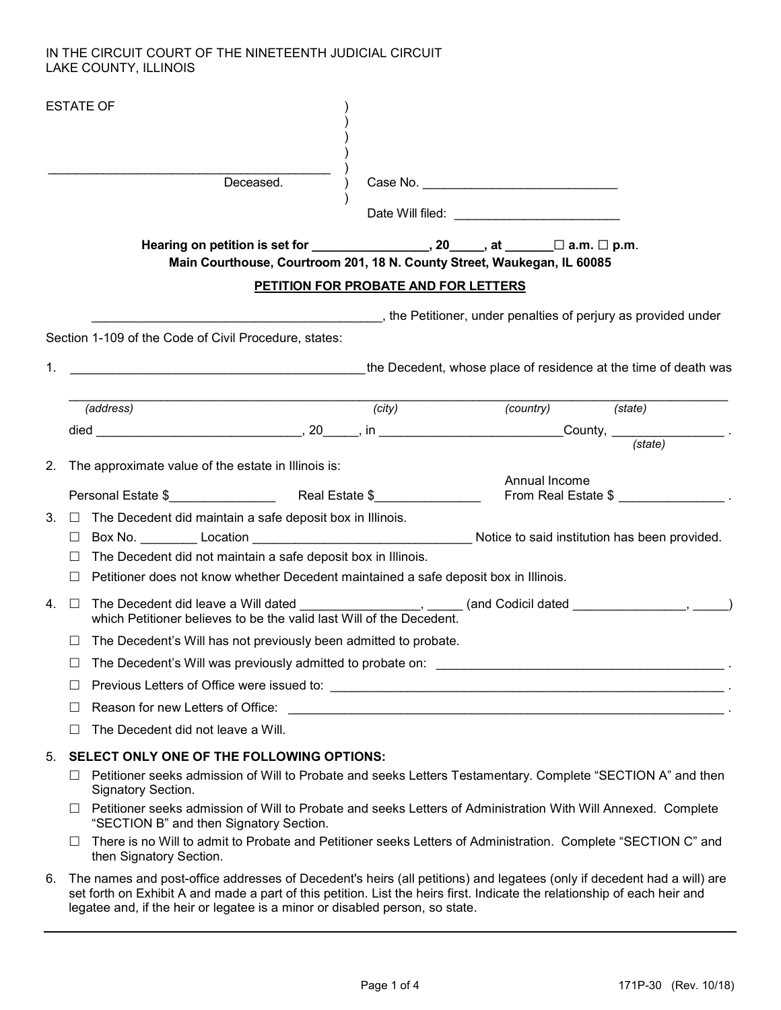## IN THE CIRCUIT COURT OF THE NINETEENTH JUDICIAL CIRCUIT LAKE COUNTY, ILLINOIS

|    |              | <b>ESTATE OF</b>                                                                                                                                                            |                                      |  |                   |                     |  |  |
|----|--------------|-----------------------------------------------------------------------------------------------------------------------------------------------------------------------------|--------------------------------------|--|-------------------|---------------------|--|--|
|    |              | Deceased.                                                                                                                                                                   |                                      |  |                   |                     |  |  |
|    |              |                                                                                                                                                                             |                                      |  |                   |                     |  |  |
|    |              | Hearing on petition is set for $\_\_\_\_\_\_$ , 20, at $\_\_\_\_$ at $\_\_\_\_$ a.m. $\Box$ p.m.<br>Main Courthouse, Courtroom 201, 18 N. County Street, Waukegan, IL 60085 |                                      |  |                   |                     |  |  |
|    |              |                                                                                                                                                                             | PETITION FOR PROBATE AND FOR LETTERS |  |                   |                     |  |  |
|    |              | , the Petitioner, under penalties of perjury as provided under                                                                                                              |                                      |  |                   |                     |  |  |
|    |              | Section 1-109 of the Code of Civil Procedure, states:                                                                                                                       |                                      |  |                   |                     |  |  |
| 1. |              |                                                                                                                                                                             |                                      |  |                   |                     |  |  |
|    |              | the Decedent, whose place of residence at the time of death was                                                                                                             |                                      |  |                   |                     |  |  |
|    |              | (address)                                                                                                                                                                   | (city)                               |  | (country) (state) |                     |  |  |
|    |              |                                                                                                                                                                             |                                      |  |                   |                     |  |  |
|    |              |                                                                                                                                                                             |                                      |  |                   |                     |  |  |
| 2. |              | The approximate value of the estate in Illinois is:                                                                                                                         |                                      |  |                   |                     |  |  |
|    |              |                                                                                                                                                                             |                                      |  | Annual Income     | From Real Estate \$ |  |  |
|    | $3. \square$ | The Decedent did maintain a safe deposit box in Illinois.                                                                                                                   |                                      |  |                   |                     |  |  |
|    | П            |                                                                                                                                                                             |                                      |  |                   |                     |  |  |
|    | Ш            | The Decedent did not maintain a safe deposit box in Illinois.                                                                                                               |                                      |  |                   |                     |  |  |
|    |              | Petitioner does not know whether Decedent maintained a safe deposit box in Illinois.                                                                                        |                                      |  |                   |                     |  |  |
|    | 4. □         |                                                                                                                                                                             |                                      |  |                   |                     |  |  |
|    |              | The Decedent's Will has not previously been admitted to probate.                                                                                                            |                                      |  |                   |                     |  |  |
|    |              |                                                                                                                                                                             |                                      |  |                   |                     |  |  |
|    |              |                                                                                                                                                                             |                                      |  |                   |                     |  |  |
|    | Ш            |                                                                                                                                                                             |                                      |  |                   |                     |  |  |
|    |              | The Decedent did not leave a Will.                                                                                                                                          |                                      |  |                   |                     |  |  |
| 5. |              | SELECT ONLY ONE OF THE FOLLOWING OPTIONS:                                                                                                                                   |                                      |  |                   |                     |  |  |
|    |              | Petitioner seeks admission of Will to Probate and seeks Letters Testamentary. Complete "SECTION A" and then<br>Signatory Section.                                           |                                      |  |                   |                     |  |  |
|    |              | Petitioner seeks admission of Will to Probate and seeks Letters of Administration With Will Annexed. Complete<br>"SECTION B" and then Signatory Section.                    |                                      |  |                   |                     |  |  |
|    | $\Box$       | There is no Will to admit to Probate and Petitioner seeks Letters of Administration. Complete "SECTION C" and<br>then Signatory Section.                                    |                                      |  |                   |                     |  |  |
| 6. |              | The names and post-office addresses of Decedent's heirs (all petitions) and legatees (only if decedent had a will) are                                                      |                                      |  |                   |                     |  |  |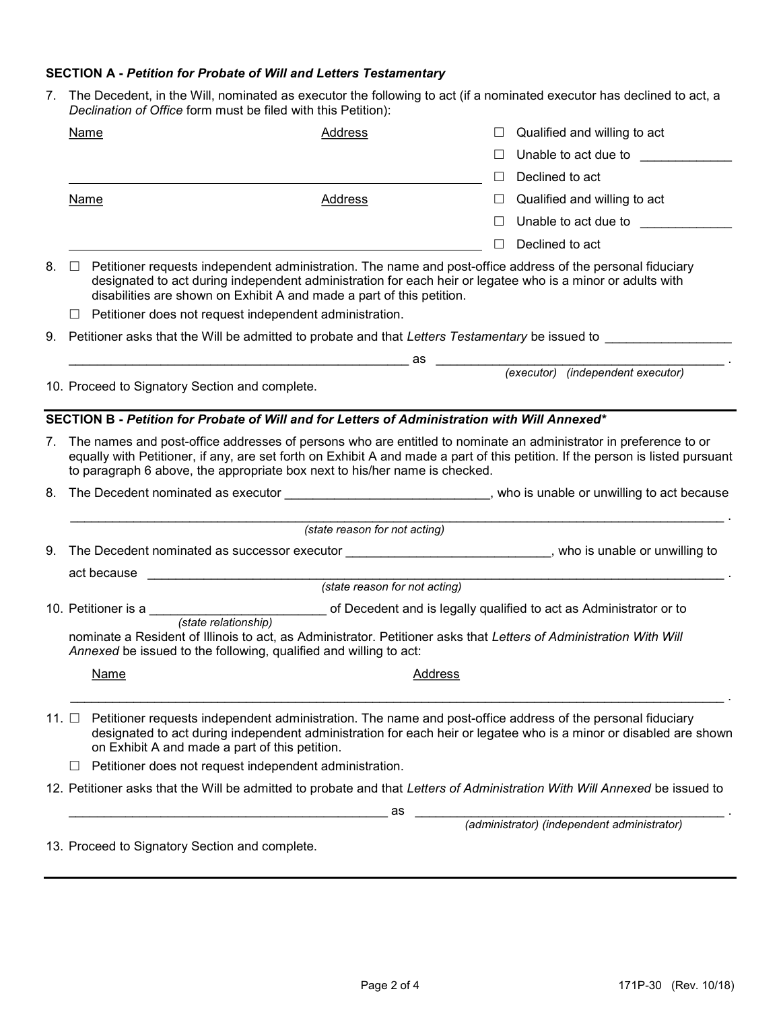## SECTION A - Petition for Probate of Will and Letters Testamentary

7. The Decedent, in the Will, nominated as executor the following to act (if a nominated executor has declined to act, a Declination of Office form must be filed with this Petition):

|       | Name                                                                                                                                                                                                                                 | Address                                                                                                                                                                                                                                                                                                                          |         | Qualified and willing to act                                     |  |  |  |
|-------|--------------------------------------------------------------------------------------------------------------------------------------------------------------------------------------------------------------------------------------|----------------------------------------------------------------------------------------------------------------------------------------------------------------------------------------------------------------------------------------------------------------------------------------------------------------------------------|---------|------------------------------------------------------------------|--|--|--|
|       |                                                                                                                                                                                                                                      |                                                                                                                                                                                                                                                                                                                                  | $\Box$  | Unable to act due to the state of the state of the United States |  |  |  |
|       |                                                                                                                                                                                                                                      |                                                                                                                                                                                                                                                                                                                                  | $\Box$  | Declined to act                                                  |  |  |  |
|       | Name                                                                                                                                                                                                                                 | Address                                                                                                                                                                                                                                                                                                                          | ⊔       | Qualified and willing to act                                     |  |  |  |
|       |                                                                                                                                                                                                                                      |                                                                                                                                                                                                                                                                                                                                  | $\perp$ | Unable to act due to                                             |  |  |  |
|       |                                                                                                                                                                                                                                      |                                                                                                                                                                                                                                                                                                                                  |         | Declined to act                                                  |  |  |  |
| 8.    | $\Box$                                                                                                                                                                                                                               | Petitioner requests independent administration. The name and post-office address of the personal fiduciary<br>designated to act during independent administration for each heir or legatee who is a minor or adults with<br>disabilities are shown on Exhibit A and made a part of this petition.                                |         |                                                                  |  |  |  |
|       | $\Box$                                                                                                                                                                                                                               | Petitioner does not request independent administration.                                                                                                                                                                                                                                                                          |         |                                                                  |  |  |  |
|       |                                                                                                                                                                                                                                      | 9.   Petitioner asks that the Will be admitted to probate and that <i>Letters Testamentary</i> be issued to                                                                                                                                                                                                                      |         |                                                                  |  |  |  |
|       |                                                                                                                                                                                                                                      | <u>as a complete a complete as a complete and the set of the set of the set of the set of the set of the set of th</u>                                                                                                                                                                                                           |         | (executor) (independent executor)                                |  |  |  |
|       | 10. Proceed to Signatory Section and complete.                                                                                                                                                                                       |                                                                                                                                                                                                                                                                                                                                  |         |                                                                  |  |  |  |
|       |                                                                                                                                                                                                                                      | SECTION B - Petition for Probate of Will and for Letters of Administration with Will Annexed*                                                                                                                                                                                                                                    |         |                                                                  |  |  |  |
| 7.    |                                                                                                                                                                                                                                      | The names and post-office addresses of persons who are entitled to nominate an administrator in preference to or<br>equally with Petitioner, if any, are set forth on Exhibit A and made a part of this petition. If the person is listed pursuant<br>to paragraph 6 above, the appropriate box next to his/her name is checked. |         |                                                                  |  |  |  |
| 8.    |                                                                                                                                                                                                                                      | The Decedent nominated as executor expansion of the state of the state of the Decedent nominated as executor                                                                                                                                                                                                                     |         |                                                                  |  |  |  |
|       | (state reason for not acting)                                                                                                                                                                                                        |                                                                                                                                                                                                                                                                                                                                  |         |                                                                  |  |  |  |
| 9.    |                                                                                                                                                                                                                                      | The Decedent nominated as successor executor ______________________________, who is unable or unwilling to                                                                                                                                                                                                                       |         |                                                                  |  |  |  |
|       | act because <u>expression and the set of the set of the set of the set of the set of the set of the set of the set of the set of the set of the set of the set of the set of the set of the set of the set of the set of the set</u> |                                                                                                                                                                                                                                                                                                                                  |         |                                                                  |  |  |  |
|       |                                                                                                                                                                                                                                      | (state reason for not acting)                                                                                                                                                                                                                                                                                                    |         |                                                                  |  |  |  |
|       | (state relationship)                                                                                                                                                                                                                 |                                                                                                                                                                                                                                                                                                                                  |         |                                                                  |  |  |  |
|       | nominate a Resident of Illinois to act, as Administrator. Petitioner asks that Letters of Administration With Will<br>Annexed be issued to the following, qualified and willing to act:                                              |                                                                                                                                                                                                                                                                                                                                  |         |                                                                  |  |  |  |
|       | Name                                                                                                                                                                                                                                 | Address                                                                                                                                                                                                                                                                                                                          |         |                                                                  |  |  |  |
| 11. □ |                                                                                                                                                                                                                                      | Petitioner requests independent administration. The name and post-office address of the personal fiduciary<br>designated to act during independent administration for each heir or legatee who is a minor or disabled are shown<br>on Exhibit A and made a part of this petition.                                                |         |                                                                  |  |  |  |
|       | $\Box$                                                                                                                                                                                                                               | Petitioner does not request independent administration.                                                                                                                                                                                                                                                                          |         |                                                                  |  |  |  |
|       |                                                                                                                                                                                                                                      | 12. Petitioner asks that the Will be admitted to probate and that Letters of Administration With Will Annexed be issued to                                                                                                                                                                                                       |         |                                                                  |  |  |  |
|       |                                                                                                                                                                                                                                      | as                                                                                                                                                                                                                                                                                                                               |         | (administrator) (independent administrator)                      |  |  |  |
|       |                                                                                                                                                                                                                                      |                                                                                                                                                                                                                                                                                                                                  |         |                                                                  |  |  |  |
|       | 13. Proceed to Signatory Section and complete.                                                                                                                                                                                       |                                                                                                                                                                                                                                                                                                                                  |         |                                                                  |  |  |  |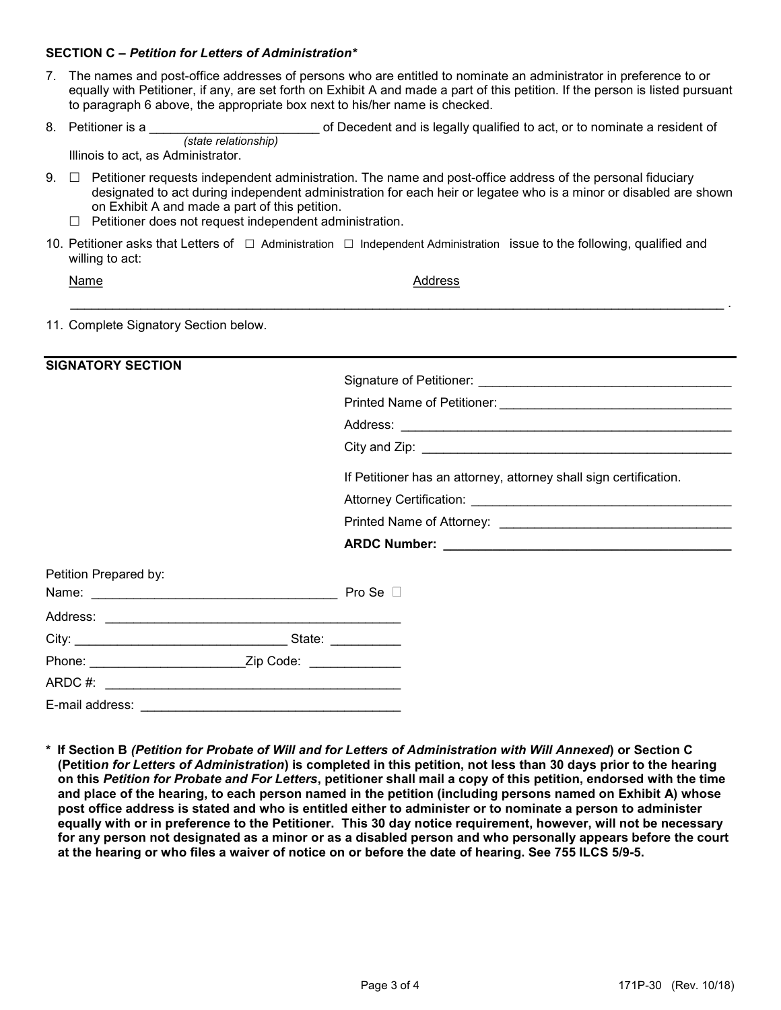## SECTION C – Petition for Letters of Administration\*

- 7. The names and post-office addresses of persons who are entitled to nominate an administrator in preference to or equally with Petitioner, if any, are set forth on Exhibit A and made a part of this petition. If the person is listed pursuant to paragraph 6 above, the appropriate box next to his/her name is checked.
- 8. Petitioner is a contract the state of Decedent and is legally qualified to act, or to nominate a resident of (state relationship)

Illinois to act, as Administrator.

 $9. \Box$  Petitioner requests independent administration. The name and post-office address of the personal fiduciary designated to act during independent administration for each heir or legatee who is a minor or disabled are shown on Exhibit A and made a part of this petition.

\_\_\_\_\_\_\_\_\_\_\_\_\_\_\_\_\_\_\_\_\_\_\_\_\_\_\_\_\_\_\_\_\_\_\_\_\_\_\_\_\_\_\_\_\_\_\_\_\_\_\_\_\_\_\_\_\_\_\_\_\_\_\_\_\_\_\_\_\_\_\_\_\_\_\_\_\_\_\_\_\_\_\_\_\_\_\_\_\_\_\_\_\_ .

- $\Box$  Petitioner does not request independent administration.
- 10. Petitioner asks that Letters of  $\Box$  Administration  $\Box$  Independent Administration issue to the following, qualified and willing to act:

| I |
|---|
|---|

**Address** 

11. Complete Signatory Section below.

| <b>SIGNATORY SECTION</b> |                                                                   |
|--------------------------|-------------------------------------------------------------------|
|                          |                                                                   |
|                          |                                                                   |
|                          |                                                                   |
|                          |                                                                   |
|                          | If Petitioner has an attorney, attorney shall sign certification. |
|                          |                                                                   |
|                          |                                                                   |
|                          |                                                                   |
| Petition Prepared by:    |                                                                   |
|                          |                                                                   |
|                          |                                                                   |
|                          |                                                                   |
|                          |                                                                   |
|                          |                                                                   |
| E-mail address:          |                                                                   |

\* If Section B (Petition for Probate of Will and for Letters of Administration with Will Annexed) or Section C (Petition for Letters of Administration) is completed in this petition, not less than 30 days prior to the hearing on this Petition for Probate and For Letters, petitioner shall mail a copy of this petition, endorsed with the time and place of the hearing, to each person named in the petition (including persons named on Exhibit A) whose post office address is stated and who is entitled either to administer or to nominate a person to administer equally with or in preference to the Petitioner. This 30 day notice requirement, however, will not be necessary for any person not designated as a minor or as a disabled person and who personally appears before the court at the hearing or who files a waiver of notice on or before the date of hearing. See 755 ILCS 5/9-5.